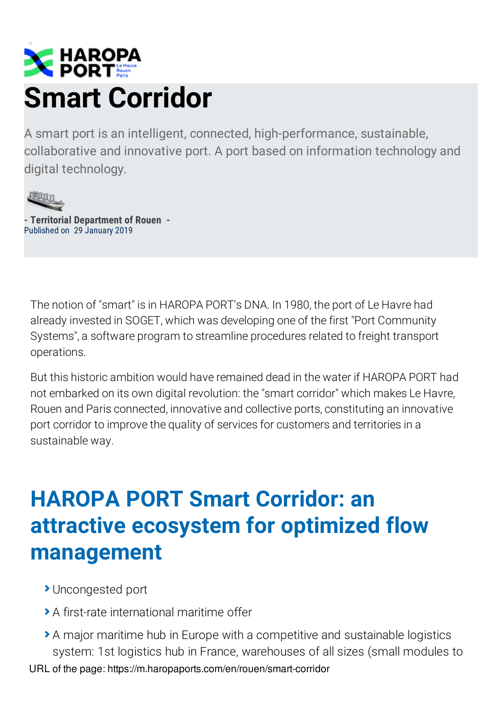

A smart port is an intelligent, connected, high-performance, sustainable, collaborative and innovative port. A port based on information technology and digital technology.



**- Territorial Department of Rouen -** Published on 29 January 2019

The notion of "smart" is in HAROPA PORT's DNA. In 1980, the port of Le Havre had already invested in SOGET, which was developing one of the first "Port Community Systems", a software program to streamline procedures related to freight transport operations.

But this historic ambition would have remained dead in the water if HAROPA PORT had not embarked on its own digital revolution: the "smart corridor" which makes Le Havre, Rouen and Paris connected, innovative and collective ports, constituting an innovative port corridor to improve the quality of services for customers and territories in a sustainable way.

#### **HAROPA PORT Smart Corridor: an attractive ecosystem for optimized flow management**

- **>** Uncongested port
- A first-rate international maritime offer
- A major maritime hub in Europe with a competitive and sustainable logistics system: 1st logistics hub in France, warehouses of all sizes (small modules to URL of the page: https://m.haropaports.com/en/rouen/smart-corridor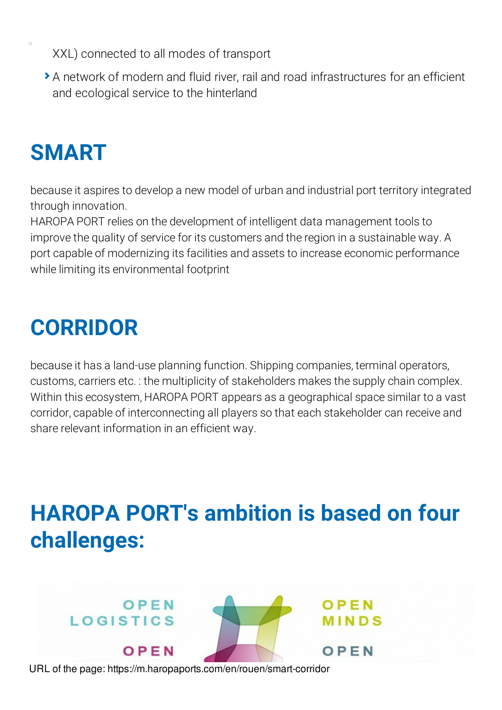- XXL) connected to all modes of transport
- A network of modern and fluid river, rail and road infrastructures for an efficient and ecological service to the hinterland

# **SMART**

because it aspires to develop a new model of urban and industrial port territory integrated through innovation.

HAROPA PORT relies on the development of intelligent data management tools to improve the quality of service for its customers and the region in a sustainable way. A port capable of modernizing its facilities and assets to increase economic performance while limiting its environmental footprint

## **CORRIDOR**

because it has a land-use planning function. Shipping companies, terminal operators, customs, carriers etc. : the multiplicity of stakeholders makes the supply chain complex. Within this ecosystem, HAROPA PORT appears as a geographical space similar to a vast corridor, capable of interconnecting all players so that each stakeholder can receive and share relevant information in an efficient way.

## **HAROPA PORT's ambition is based on four challenges:**

OPEN

OPEN

**MINDS** 

URL of the page: https://m.haropaports.com/en/rouen/smart-corridor

OPEN

OPEN

**LOGISTICS**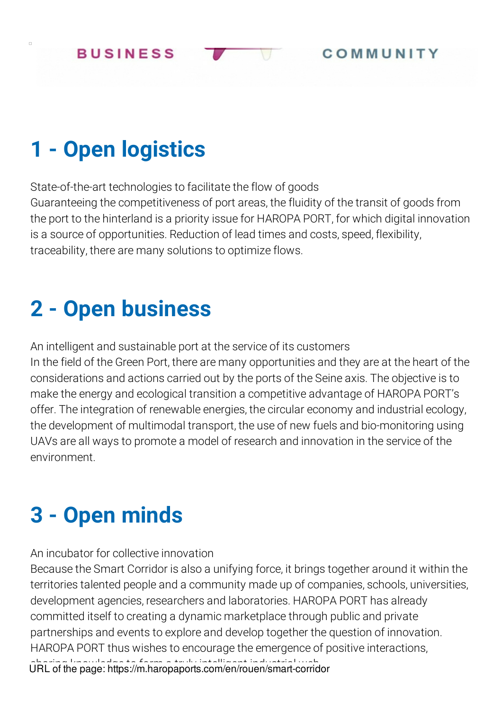## **1 - Open logistics**

 $\Box$ 

State-of-the-art technologies to facilitate the flow of goods Guaranteeing the competitiveness of port areas, the fluidity of the transit of goods from the port to the hinterland is a priority issue for HAROPA PORT, for which digital innovation is a source of opportunities. Reduction of lead times and costs, speed, flexibility, traceability, there are many solutions to optimize flows.

#### **2 - Open business**

An intelligent and sustainable port at the service of its customers In the field of the Green Port, there are many opportunities and they are at the heart of the considerations and actions carried out by the ports of the Seine axis. The objective is to make the energy and ecological transition a competitive advantage of HAROPA PORT's offer. The integration of renewable energies, the circular economy and industrial ecology, the development of multimodal transport, the use of new fuels and bio-monitoring using UAVs are all ways to promote a model of research and innovation in the service of the environment.

## **3 - Open minds**

An incubator for collective innovation

Because the Smart Corridor is also a unifying force, it brings together around it within the territories talented people and a community made up of companies, schools, universities, development agencies, researchers and laboratories. HAROPA PORT has already committed itself to creating a dynamic marketplace through public and private partnerships and events to explore and develop together the question of innovation. HAROPA PORT thus wishes to encourage the emergence of positive interactions, sharing knowledge to form a truly intelligent industrial web. URL of the page: https://m.haropaports.com/en/rouen/smart-corridor